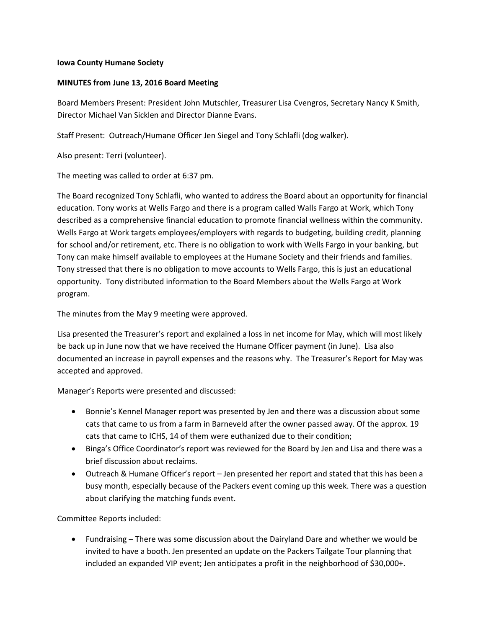## **Iowa County Humane Society**

## **MINUTES from June 13, 2016 Board Meeting**

Board Members Present: President John Mutschler, Treasurer Lisa Cvengros, Secretary Nancy K Smith, Director Michael Van Sicklen and Director Dianne Evans.

Staff Present: Outreach/Humane Officer Jen Siegel and Tony Schlafli (dog walker).

Also present: Terri (volunteer).

The meeting was called to order at 6:37 pm.

The Board recognized Tony Schlafli, who wanted to address the Board about an opportunity for financial education. Tony works at Wells Fargo and there is a program called Walls Fargo at Work, which Tony described as a comprehensive financial education to promote financial wellness within the community. Wells Fargo at Work targets employees/employers with regards to budgeting, building credit, planning for school and/or retirement, etc. There is no obligation to work with Wells Fargo in your banking, but Tony can make himself available to employees at the Humane Society and their friends and families. Tony stressed that there is no obligation to move accounts to Wells Fargo, this is just an educational opportunity. Tony distributed information to the Board Members about the Wells Fargo at Work program.

The minutes from the May 9 meeting were approved.

Lisa presented the Treasurer's report and explained a loss in net income for May, which will most likely be back up in June now that we have received the Humane Officer payment (in June). Lisa also documented an increase in payroll expenses and the reasons why. The Treasurer's Report for May was accepted and approved.

Manager's Reports were presented and discussed:

- Bonnie's Kennel Manager report was presented by Jen and there was a discussion about some cats that came to us from a farm in Barneveld after the owner passed away. Of the approx. 19 cats that came to ICHS, 14 of them were euthanized due to their condition;
- Binga's Office Coordinator's report was reviewed for the Board by Jen and Lisa and there was a brief discussion about reclaims.
- Outreach & Humane Officer's report Jen presented her report and stated that this has been a busy month, especially because of the Packers event coming up this week. There was a question about clarifying the matching funds event.

## Committee Reports included:

 Fundraising – There was some discussion about the Dairyland Dare and whether we would be invited to have a booth. Jen presented an update on the Packers Tailgate Tour planning that included an expanded VIP event; Jen anticipates a profit in the neighborhood of \$30,000+.